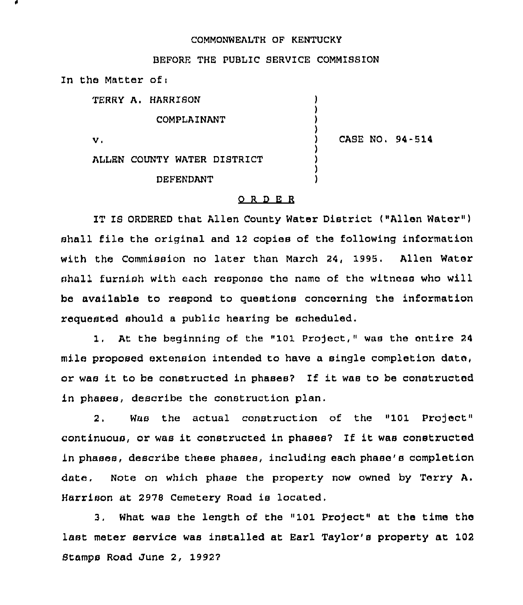## COMMONWEALTH OF KENTUCKY

## BEFORE THE PUBLIC SERVICE COMMISSION

In the Matter of:

| TERRY A. HARRISON           |                 |
|-----------------------------|-----------------|
| COMPLAINANT                 |                 |
| v.                          | CASE NO. 94-514 |
| ALLEN COUNTY WATER DISTRICT |                 |
| <b>DEFENDANT</b>            |                 |

## 0 <sup>R</sup> <sup>D</sup> E <sup>R</sup>

IT IS ORDERED that Allen County Water District ("Allen Water") shall file the original and 12 copies of the following information with the Commission no later than March 24, 1995. Allen Water shall furnish with each response the name of the witness who will be available to respond to questions concerning the information requested should a public hearing be scheduled.

At the beginning of the "101 Project," was the entire 24  $1.$ mile proposed extension intended to have a single completion date, or was it to be constructed in phases? If it was to be constructed in phases, describe the construction plan.

2. Was the actual construction of the "101 Project" continuous, or was it constructed in phases? If it was constructed in phases, describe these phases, including each phase's completion date, Note on which phase the property now owned by Terry A. Harrison at 2978 Cemetery Road is located.

3, What was the length of the "101 Pro)ect" at the time the last meter service was installed at Earl Taylor's property at 102 Stamps Road June 2, 19922